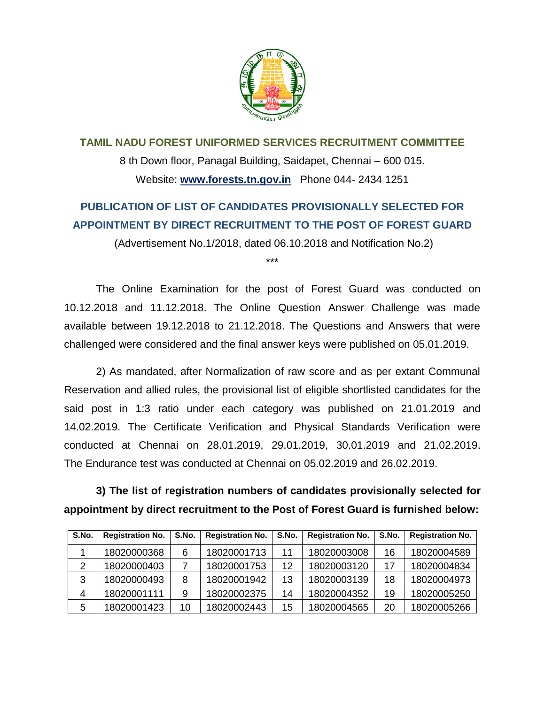

**TAMIL NADU FOREST UNIFORMED SERVICES RECRUITMENT COMMITTEE**  8 th Down floor, Panagal Building, Saidapet, Chennai – 600 015. Website: **www.forests.tn.gov.in** Phone 044- 2434 1251

## **PUBLICATION OF LIST OF CANDIDATES PROVISIONALLY SELECTED FOR APPOINTMENT BY DIRECT RECRUITMENT TO THE POST OF FOREST GUARD**

(Advertisement No.1/2018, dated 06.10.2018 and Notification No.2)

\*\*\*

The Online Examination for the post of Forest Guard was conducted on 10.12.2018 and 11.12.2018. The Online Question Answer Challenge was made available between 19.12.2018 to 21.12.2018. The Questions and Answers that were challenged were considered and the final answer keys were published on 05.01.2019.

2) As mandated, after Normalization of raw score and as per extant Communal Reservation and allied rules, the provisional list of eligible shortlisted candidates for the said post in 1:3 ratio under each category was published on 21.01.2019 and 14.02.2019. The Certificate Verification and Physical Standards Verification were conducted at Chennai on 28.01.2019, 29.01.2019, 30.01.2019 and 21.02.2019. The Endurance test was conducted at Chennai on 05.02.2019 and 26.02.2019.

**3) The list of registration numbers of candidates provisionally selected for appointment by direct recruitment to the Post of Forest Guard is furnished below:**

| S.No. | <b>Registration No.</b> | S.No. | <b>Registration No.</b> | S.No. | <b>Registration No.</b> | S.No. | <b>Registration No.</b> |
|-------|-------------------------|-------|-------------------------|-------|-------------------------|-------|-------------------------|
|       | 18020000368             | 6     | 18020001713             | 11    | 18020003008             | 16    | 18020004589             |
|       | 18020000403             |       | 18020001753             | 12    | 18020003120             | -17   | 18020004834             |
| 3     | 18020000493             | 8     | 18020001942             | 13    | 18020003139             | 18    | 18020004973             |
| 4     | 18020001111             | 9     | 18020002375             | 14    | 18020004352             | 19    | 18020005250             |
| 5     | 18020001423             | 10    | 18020002443             | 15    | 18020004565             | 20    | 18020005266             |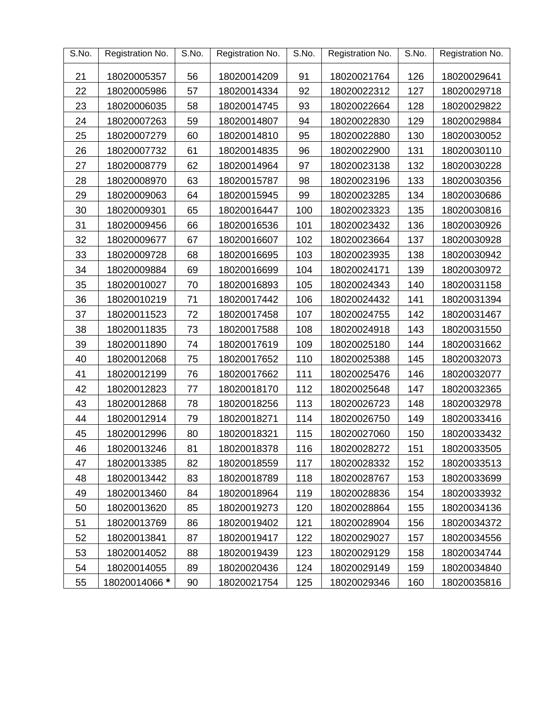| S.No. | Registration No. | S.No. | Registration No. | S.No. | Registration No. | S.No. | Registration No. |
|-------|------------------|-------|------------------|-------|------------------|-------|------------------|
| 21    | 18020005357      | 56    | 18020014209      | 91    | 18020021764      | 126   | 18020029641      |
| 22    | 18020005986      | 57    | 18020014334      | 92    | 18020022312      | 127   | 18020029718      |
| 23    | 18020006035      | 58    | 18020014745      | 93    | 18020022664      | 128   | 18020029822      |
| 24    | 18020007263      | 59    | 18020014807      | 94    | 18020022830      | 129   | 18020029884      |
| 25    | 18020007279      | 60    | 18020014810      | 95    | 18020022880      | 130   | 18020030052      |
| 26    | 18020007732      | 61    | 18020014835      | 96    | 18020022900      | 131   | 18020030110      |
| 27    | 18020008779      | 62    | 18020014964      | 97    | 18020023138      | 132   | 18020030228      |
| 28    | 18020008970      | 63    | 18020015787      | 98    | 18020023196      | 133   | 18020030356      |
| 29    | 18020009063      | 64    | 18020015945      | 99    | 18020023285      | 134   | 18020030686      |
| 30    | 18020009301      | 65    | 18020016447      | 100   | 18020023323      | 135   | 18020030816      |
| 31    | 18020009456      | 66    | 18020016536      | 101   | 18020023432      | 136   | 18020030926      |
| 32    | 18020009677      | 67    | 18020016607      | 102   | 18020023664      | 137   | 18020030928      |
| 33    | 18020009728      | 68    | 18020016695      | 103   | 18020023935      | 138   | 18020030942      |
| 34    | 18020009884      | 69    | 18020016699      | 104   | 18020024171      | 139   | 18020030972      |
| 35    | 18020010027      | 70    | 18020016893      | 105   | 18020024343      | 140   | 18020031158      |
| 36    | 18020010219      | 71    | 18020017442      | 106   | 18020024432      | 141   | 18020031394      |
| 37    | 18020011523      | 72    | 18020017458      | 107   | 18020024755      | 142   | 18020031467      |
| 38    | 18020011835      | 73    | 18020017588      | 108   | 18020024918      | 143   | 18020031550      |
| 39    | 18020011890      | 74    | 18020017619      | 109   | 18020025180      | 144   | 18020031662      |
| 40    | 18020012068      | 75    | 18020017652      | 110   | 18020025388      | 145   | 18020032073      |
| 41    | 18020012199      | 76    | 18020017662      | 111   | 18020025476      | 146   | 18020032077      |
| 42    | 18020012823      | 77    | 18020018170      | 112   | 18020025648      | 147   | 18020032365      |
| 43    | 18020012868      | 78    | 18020018256      | 113   | 18020026723      | 148   | 18020032978      |
| 44    | 18020012914      | 79    | 18020018271      | 114   | 18020026750      | 149   | 18020033416      |
| 45    | 18020012996      | 80    | 18020018321      | 115   | 18020027060      | 150   | 18020033432      |
| 46    | 18020013246      | 81    | 18020018378      | 116   | 18020028272      | 151   | 18020033505      |
| 47    | 18020013385      | 82    | 18020018559      | 117   | 18020028332      | 152   | 18020033513      |
| 48    | 18020013442      | 83    | 18020018789      | 118   | 18020028767      | 153   | 18020033699      |
| 49    | 18020013460      | 84    | 18020018964      | 119   | 18020028836      | 154   | 18020033932      |
| 50    | 18020013620      | 85    | 18020019273      | 120   | 18020028864      | 155   | 18020034136      |
| 51    | 18020013769      | 86    | 18020019402      | 121   | 18020028904      | 156   | 18020034372      |
| 52    | 18020013841      | 87    | 18020019417      | 122   | 18020029027      | 157   | 18020034556      |
| 53    | 18020014052      | 88    | 18020019439      | 123   | 18020029129      | 158   | 18020034744      |
| 54    | 18020014055      | 89    | 18020020436      | 124   | 18020029149      | 159   | 18020034840      |
| 55    | 18020014066 *    | 90    | 18020021754      | 125   | 18020029346      | 160   | 18020035816      |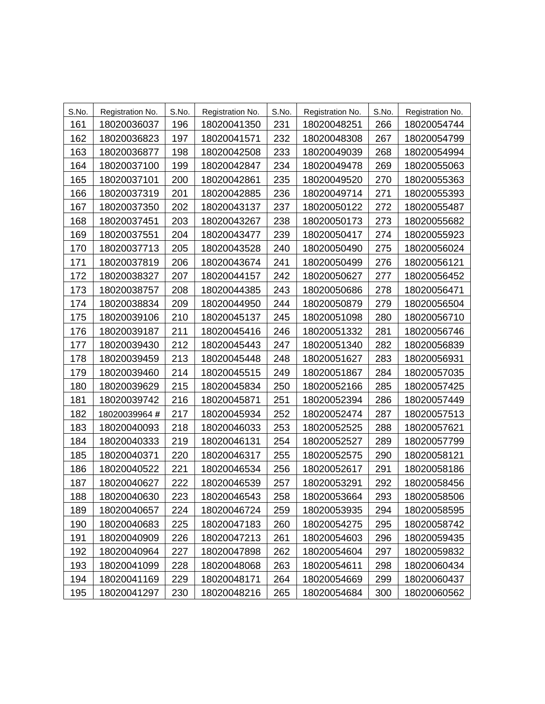| S.No. | Registration No. | S.No. | Registration No. | S.No. | Registration No. | S.No. | Registration No. |
|-------|------------------|-------|------------------|-------|------------------|-------|------------------|
| 161   | 18020036037      | 196   | 18020041350      | 231   | 18020048251      | 266   | 18020054744      |
| 162   | 18020036823      | 197   | 18020041571      | 232   | 18020048308      | 267   | 18020054799      |
| 163   | 18020036877      | 198   | 18020042508      | 233   | 18020049039      | 268   | 18020054994      |
| 164   | 18020037100      | 199   | 18020042847      | 234   | 18020049478      | 269   | 18020055063      |
| 165   | 18020037101      | 200   | 18020042861      | 235   | 18020049520      | 270   | 18020055363      |
| 166   | 18020037319      | 201   | 18020042885      | 236   | 18020049714      | 271   | 18020055393      |
| 167   | 18020037350      | 202   | 18020043137      | 237   | 18020050122      | 272   | 18020055487      |
| 168   | 18020037451      | 203   | 18020043267      | 238   | 18020050173      | 273   | 18020055682      |
| 169   | 18020037551      | 204   | 18020043477      | 239   | 18020050417      | 274   | 18020055923      |
| 170   | 18020037713      | 205   | 18020043528      | 240   | 18020050490      | 275   | 18020056024      |
| 171   | 18020037819      | 206   | 18020043674      | 241   | 18020050499      | 276   | 18020056121      |
| 172   | 18020038327      | 207   | 18020044157      | 242   | 18020050627      | 277   | 18020056452      |
| 173   | 18020038757      | 208   | 18020044385      | 243   | 18020050686      | 278   | 18020056471      |
| 174   | 18020038834      | 209   | 18020044950      | 244   | 18020050879      | 279   | 18020056504      |
| 175   | 18020039106      | 210   | 18020045137      | 245   | 18020051098      | 280   | 18020056710      |
| 176   | 18020039187      | 211   | 18020045416      | 246   | 18020051332      | 281   | 18020056746      |
| 177   | 18020039430      | 212   | 18020045443      | 247   | 18020051340      | 282   | 18020056839      |
| 178   | 18020039459      | 213   | 18020045448      | 248   | 18020051627      | 283   | 18020056931      |
| 179   | 18020039460      | 214   | 18020045515      | 249   | 18020051867      | 284   | 18020057035      |
| 180   | 18020039629      | 215   | 18020045834      | 250   | 18020052166      | 285   | 18020057425      |
| 181   | 18020039742      | 216   | 18020045871      | 251   | 18020052394      | 286   | 18020057449      |
| 182   | 18020039964#     | 217   | 18020045934      | 252   | 18020052474      | 287   | 18020057513      |
| 183   | 18020040093      | 218   | 18020046033      | 253   | 18020052525      | 288   | 18020057621      |
| 184   | 18020040333      | 219   | 18020046131      | 254   | 18020052527      | 289   | 18020057799      |
| 185   | 18020040371      | 220   | 18020046317      | 255   | 18020052575      | 290   | 18020058121      |
| 186   | 18020040522      | 221   | 18020046534      | 256   | 18020052617      | 291   | 18020058186      |
| 187   | 18020040627      | 222   | 18020046539      | 257   | 18020053291      | 292   | 18020058456      |
| 188   | 18020040630      | 223   | 18020046543      | 258   | 18020053664      | 293   | 18020058506      |
| 189   | 18020040657      | 224   | 18020046724      | 259   | 18020053935      | 294   | 18020058595      |
| 190   | 18020040683      | 225   | 18020047183      | 260   | 18020054275      | 295   | 18020058742      |
| 191   | 18020040909      | 226   | 18020047213      | 261   | 18020054603      | 296   | 18020059435      |
| 192   | 18020040964      | 227   | 18020047898      | 262   | 18020054604      | 297   | 18020059832      |
| 193   | 18020041099      | 228   | 18020048068      | 263   | 18020054611      | 298   | 18020060434      |
| 194   | 18020041169      | 229   | 18020048171      | 264   | 18020054669      | 299   | 18020060437      |
| 195   | 18020041297      | 230   | 18020048216      | 265   | 18020054684      | 300   | 18020060562      |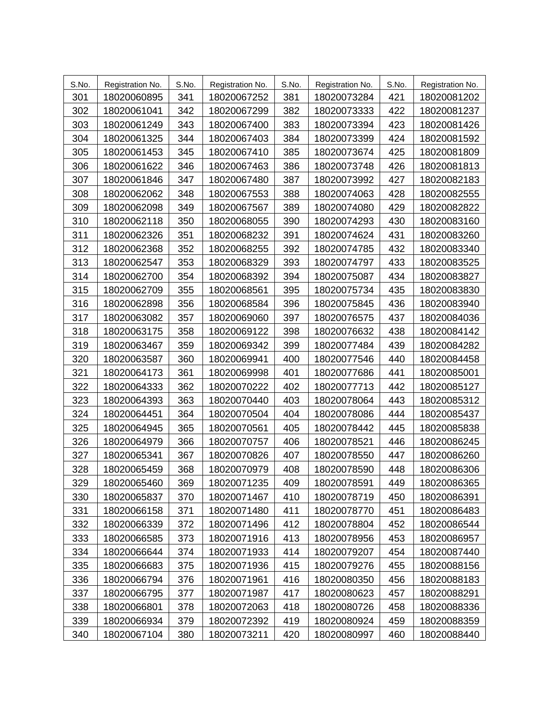| S.No. | Registration No. | S.No. | Registration No. | S.No. | Registration No. | S.No. | Registration No. |
|-------|------------------|-------|------------------|-------|------------------|-------|------------------|
| 301   | 18020060895      | 341   | 18020067252      | 381   | 18020073284      | 421   | 18020081202      |
| 302   | 18020061041      | 342   | 18020067299      | 382   | 18020073333      | 422   | 18020081237      |
| 303   | 18020061249      | 343   | 18020067400      | 383   | 18020073394      | 423   | 18020081426      |
| 304   | 18020061325      | 344   | 18020067403      | 384   | 18020073399      | 424   | 18020081592      |
| 305   | 18020061453      | 345   | 18020067410      | 385   | 18020073674      | 425   | 18020081809      |
| 306   | 18020061622      | 346   | 18020067463      | 386   | 18020073748      | 426   | 18020081813      |
| 307   | 18020061846      | 347   | 18020067480      | 387   | 18020073992      | 427   | 18020082183      |
| 308   | 18020062062      | 348   | 18020067553      | 388   | 18020074063      | 428   | 18020082555      |
| 309   | 18020062098      | 349   | 18020067567      | 389   | 18020074080      | 429   | 18020082822      |
| 310   | 18020062118      | 350   | 18020068055      | 390   | 18020074293      | 430   | 18020083160      |
| 311   | 18020062326      | 351   | 18020068232      | 391   | 18020074624      | 431   | 18020083260      |
| 312   | 18020062368      | 352   | 18020068255      | 392   | 18020074785      | 432   | 18020083340      |
| 313   | 18020062547      | 353   | 18020068329      | 393   | 18020074797      | 433   | 18020083525      |
| 314   | 18020062700      | 354   | 18020068392      | 394   | 18020075087      | 434   | 18020083827      |
| 315   | 18020062709      | 355   | 18020068561      | 395   | 18020075734      | 435   | 18020083830      |
| 316   | 18020062898      | 356   | 18020068584      | 396   | 18020075845      | 436   | 18020083940      |
| 317   | 18020063082      | 357   | 18020069060      | 397   | 18020076575      | 437   | 18020084036      |
| 318   | 18020063175      | 358   | 18020069122      | 398   | 18020076632      | 438   | 18020084142      |
| 319   | 18020063467      | 359   | 18020069342      | 399   | 18020077484      | 439   | 18020084282      |
| 320   | 18020063587      | 360   | 18020069941      | 400   | 18020077546      | 440   | 18020084458      |
| 321   | 18020064173      | 361   | 18020069998      | 401   | 18020077686      | 441   | 18020085001      |
| 322   | 18020064333      | 362   | 18020070222      | 402   | 18020077713      | 442   | 18020085127      |
| 323   | 18020064393      | 363   | 18020070440      | 403   | 18020078064      | 443   | 18020085312      |
| 324   | 18020064451      | 364   | 18020070504      | 404   | 18020078086      | 444   | 18020085437      |
| 325   | 18020064945      | 365   | 18020070561      | 405   | 18020078442      | 445   | 18020085838      |
| 326   | 18020064979      | 366   | 18020070757      | 406   | 18020078521      | 446   | 18020086245      |
| 327   | 18020065341      | 367   | 18020070826      | 407   | 18020078550      | 447   | 18020086260      |
| 328   | 18020065459      | 368   | 18020070979      | 408   | 18020078590      | 448   | 18020086306      |
| 329   | 18020065460      | 369   | 18020071235      | 409   | 18020078591      | 449   | 18020086365      |
| 330   | 18020065837      | 370   | 18020071467      | 410   | 18020078719      | 450   | 18020086391      |
| 331   | 18020066158      | 371   | 18020071480      | 411   | 18020078770      | 451   | 18020086483      |
| 332   | 18020066339      | 372   | 18020071496      | 412   | 18020078804      | 452   | 18020086544      |
| 333   | 18020066585      | 373   | 18020071916      | 413   | 18020078956      | 453   | 18020086957      |
| 334   | 18020066644      | 374   | 18020071933      | 414   | 18020079207      | 454   | 18020087440      |
| 335   | 18020066683      | 375   | 18020071936      | 415   | 18020079276      | 455   | 18020088156      |
| 336   | 18020066794      | 376   | 18020071961      | 416   | 18020080350      | 456   | 18020088183      |
| 337   | 18020066795      | 377   | 18020071987      | 417   | 18020080623      | 457   | 18020088291      |
| 338   | 18020066801      | 378   | 18020072063      | 418   | 18020080726      | 458   | 18020088336      |
| 339   | 18020066934      | 379   | 18020072392      | 419   | 18020080924      | 459   | 18020088359      |
| 340   | 18020067104      | 380   | 18020073211      | 420   | 18020080997      | 460   | 18020088440      |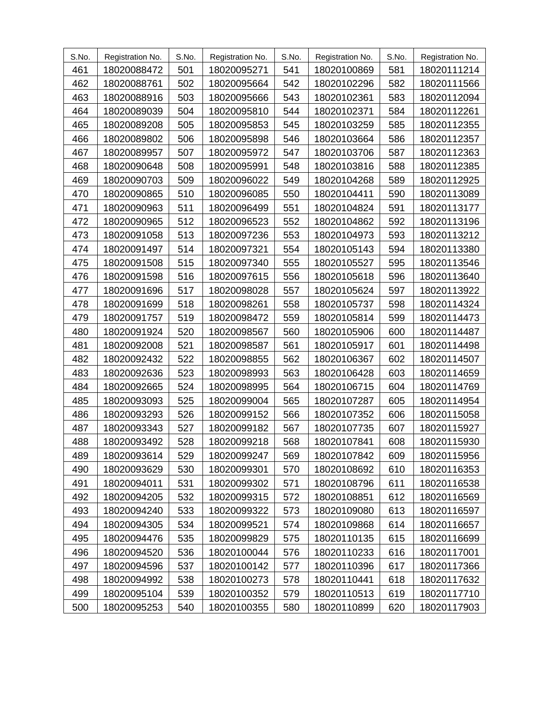| S.No. | Registration No. | S.No. | Registration No. | S.No. | Registration No. | S.No. | Registration No. |
|-------|------------------|-------|------------------|-------|------------------|-------|------------------|
| 461   | 18020088472      | 501   | 18020095271      | 541   | 18020100869      | 581   | 18020111214      |
| 462   | 18020088761      | 502   | 18020095664      | 542   | 18020102296      | 582   | 18020111566      |
| 463   | 18020088916      | 503   | 18020095666      | 543   | 18020102361      | 583   | 18020112094      |
| 464   | 18020089039      | 504   | 18020095810      | 544   | 18020102371      | 584   | 18020112261      |
| 465   | 18020089208      | 505   | 18020095853      | 545   | 18020103259      | 585   | 18020112355      |
| 466   | 18020089802      | 506   | 18020095898      | 546   | 18020103664      | 586   | 18020112357      |
| 467   | 18020089957      | 507   | 18020095972      | 547   | 18020103706      | 587   | 18020112363      |
| 468   | 18020090648      | 508   | 18020095991      | 548   | 18020103816      | 588   | 18020112385      |
| 469   | 18020090703      | 509   | 18020096022      | 549   | 18020104268      | 589   | 18020112925      |
| 470   | 18020090865      | 510   | 18020096085      | 550   | 18020104411      | 590   | 18020113089      |
| 471   | 18020090963      | 511   | 18020096499      | 551   | 18020104824      | 591   | 18020113177      |
| 472   | 18020090965      | 512   | 18020096523      | 552   | 18020104862      | 592   | 18020113196      |
| 473   | 18020091058      | 513   | 18020097236      | 553   | 18020104973      | 593   | 18020113212      |
| 474   | 18020091497      | 514   | 18020097321      | 554   | 18020105143      | 594   | 18020113380      |
| 475   | 18020091508      | 515   | 18020097340      | 555   | 18020105527      | 595   | 18020113546      |
| 476   | 18020091598      | 516   | 18020097615      | 556   | 18020105618      | 596   | 18020113640      |
| 477   | 18020091696      | 517   | 18020098028      | 557   | 18020105624      | 597   | 18020113922      |
| 478   | 18020091699      | 518   | 18020098261      | 558   | 18020105737      | 598   | 18020114324      |
| 479   | 18020091757      | 519   | 18020098472      | 559   | 18020105814      | 599   | 18020114473      |
| 480   | 18020091924      | 520   | 18020098567      | 560   | 18020105906      | 600   | 18020114487      |
| 481   | 18020092008      | 521   | 18020098587      | 561   | 18020105917      | 601   | 18020114498      |
| 482   | 18020092432      | 522   | 18020098855      | 562   | 18020106367      | 602   | 18020114507      |
| 483   | 18020092636      | 523   | 18020098993      | 563   | 18020106428      | 603   | 18020114659      |
| 484   | 18020092665      | 524   | 18020098995      | 564   | 18020106715      | 604   | 18020114769      |
| 485   | 18020093093      | 525   | 18020099004      | 565   | 18020107287      | 605   | 18020114954      |
| 486   | 18020093293      | 526   | 18020099152      | 566   | 18020107352      | 606   | 18020115058      |
| 487   | 18020093343      | 527   | 18020099182      | 567   | 18020107735      | 607   | 18020115927      |
| 488   | 18020093492      | 528   | 18020099218      | 568   | 18020107841      | 608   | 18020115930      |
| 489   | 18020093614      | 529   | 18020099247      | 569   | 18020107842      | 609   | 18020115956      |
| 490   | 18020093629      | 530   | 18020099301      | 570   | 18020108692      | 610   | 18020116353      |
| 491   | 18020094011      | 531   | 18020099302      | 571   | 18020108796      | 611   | 18020116538      |
| 492   | 18020094205      | 532   | 18020099315      | 572   | 18020108851      | 612   | 18020116569      |
| 493   | 18020094240      | 533   | 18020099322      | 573   | 18020109080      | 613   | 18020116597      |
| 494   | 18020094305      | 534   | 18020099521      | 574   | 18020109868      | 614   | 18020116657      |
| 495   | 18020094476      | 535   | 18020099829      | 575   | 18020110135      | 615   | 18020116699      |
| 496   | 18020094520      | 536   | 18020100044      | 576   | 18020110233      | 616   | 18020117001      |
| 497   | 18020094596      | 537   | 18020100142      | 577   | 18020110396      | 617   | 18020117366      |
| 498   | 18020094992      | 538   | 18020100273      | 578   | 18020110441      | 618   | 18020117632      |
| 499   | 18020095104      | 539   | 18020100352      | 579   | 18020110513      | 619   | 18020117710      |
| 500   | 18020095253      | 540   | 18020100355      | 580   | 18020110899      | 620   | 18020117903      |